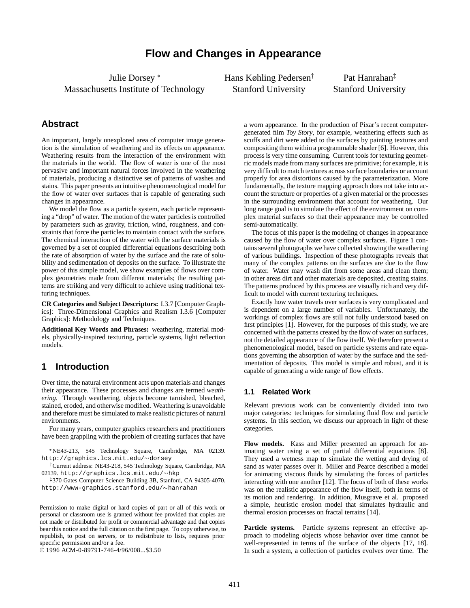Julie Dorsey Massachusetts Institute of Technology Hans Køhling Pedersen<sup>†</sup> Stanford University

Pat Hanrahan<sup>‡</sup> Stanford University

# **Abstract**

An important, largely unexplored area of computer image generation is the simulation of weathering and its effects on appearance. Weathering results from the interaction of the environment with the materials in the world. The flow of water is one of the most pervasive and important natural forces involved in the weathering of materials, producing a distinctive set of patterns of washes and stains. This paper presents an intuitive phenomenological model for the flow of water over surfaces that is capable of generating such changes in appearance.

We model the flow as a particle system, each particle representing a "drop" of water. The motion of the water particles is controlled by parameters such as gravity, friction, wind, roughness, and constraints that force the particles to maintain contact with the surface. The chemical interaction of the water with the surface materials is governed by a set of coupled differential equations describing both the rate of absorption of water by the surface and the rate of solubility and sedimentation of deposits on the surface. To illustrate the power of this simple model, we show examples of flows over complex geometries made from different materials; the resulting patterns are striking and very difficult to achieve using traditional texturing techniques.

**CR Categories and Subject Descriptors:** I.3.7 [Computer Graphics]: Three-Dimensional Graphics and Realism I.3.6 [Computer Graphics]: Methodology and Techniques.

**Additional Key Words and Phrases:** weathering, material models, physically-inspired texturing, particle systems, light reflection models.

# **1 Introduction**

Over time, the natural environment acts upon materials and changes their appearance. These processes and changes are termed *weathering*. Through weathering, objects become tarnished, bleached, stained, eroded, and otherwise modified. Weathering is unavoidable and therefore must be simulated to make realistic pictures of natural environments.

For many years, computer graphics researchers and practitioners have been grappling with the problem of creating surfaces that have

<sup>‡</sup> 370 Gates Computer Science Building 3B, Stanford, CA 94305-4070. http://www-graphics.stanford.edu/~hanrahan

Permission to make digital or hard copies of part or all of this work or personal or classroom use is granted without fee provided that copies are not made or distributed for profit or commercial advantage and that copies bear this notice and the full citation on the first page. To copy otherwise, to republish, to post on servers, or to redistribute to lists, requires prior specific permission and/or a fee.

© 1996 ACM-0-89791-746-4/96/008...\$3.50

a worn appearance. In the production of Pixar's recent computergenerated film *Toy Story*, for example, weathering effects such as scuffs and dirt were added to the surfaces by painting textures and compositing them within a programmable shader [6]. However, this process is very time consuming. Current tools for texturing geometric models made from many surfaces are primitive; for example, it is very difficult to match textures across surface boundaries or account properly for area distortions caused by the parameterization. More fundamentally, the texture mapping approach does not take into account the structure or properties of a given material or the processes in the surrounding environment that account for weathering. Our long range goal is to simulate the effect of the environment on complex material surfaces so that their appearance may be controlled semi-automatically.

The focus of this paper is the modeling of changes in appearance caused by the flow of water over complex surfaces. Figure 1 contains several photographs we have collected showing the weathering of various buildings. Inspection of these photographs reveals that many of the complex patterns on the surfaces are due to the flow of water. Water may wash dirt from some areas and clean them; in other areas dirt and other materials are deposited, creating stains. The patterns produced by this process are visually rich and very difficult to model with current texturing techniques.

Exactly how water travels over surfaces is very complicated and is dependent on a large number of variables. Unfortunately, the workings of complex flows are still not fully understood based on first principles [1]. However, for the purposes of this study, we are concerned with the patterns created by the flow of water on surfaces, not the detailed appearance of the flow itself. We therefore present a phenomenological model, based on particle systems and rate equations governing the absorption of water by the surface and the sedimentation of deposits. This model is simple and robust, and it is capable of generating a wide range of flow effects.

### **1.1 Related Work**

Relevant previous work can be conveniently divided into two major categories: techniques for simulating fluid flow and particle systems. In this section, we discuss our approach in light of these categories.

**Flow models.** Kass and Miller presented an approach for animating water using a set of partial differential equations [8]. They used a wetness map to simulate the wetting and drying of sand as water passes over it. Miller and Pearce described a model for animating viscous fluids by simulating the forces of particles interacting with one another [12]. The focus of both of these works was on the realistic appearance of the flow itself, both in terms of its motion and rendering. In addition, Musgrave et al. proposed a simple, heuristic erosion model that simulates hydraulic and thermal erosion processes on fractal terrains [14].

Particle systems. Particle systems represent an effective approach to modeling objects whose behavior over time cannot be well-represented in terms of the surface of the objects [17, 18]. In such a system, a collection of particles evolves over time. The

NE43-213, 545 Technology Square, Cambridge, MA 02139. http://graphics.lcs.mit.edu/~dorsey

<sup>&</sup>lt;sup>†</sup> Current address: NE43-218, 545 Technology Square, Cambridge, MA 02139. http://graphics.lcs.mit.edu/~hkp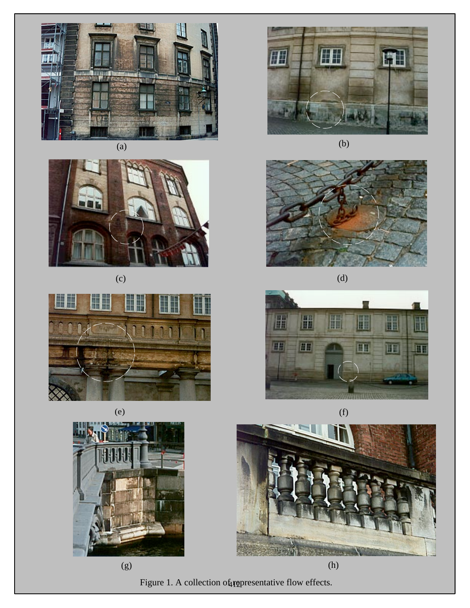

(a)



(c)











(b)



(d)







Figure 1. A collection of appresentative flow effects.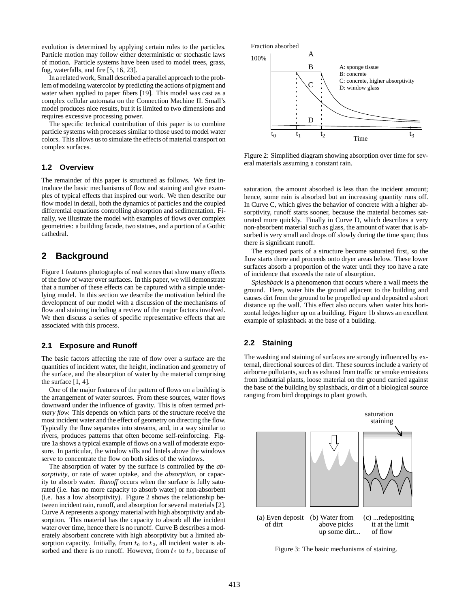evolution is determined by applying certain rules to the particles. Particle motion may follow either deterministic or stochastic laws of motion. Particle systems have been used to model trees, grass, fog, waterfalls, and fire [5, 16, 23].

In a related work, Small described a parallel approach to the problem of modeling watercolor by predicting the actions of pigment and water when applied to paper fibers [19]. This model was cast as a complex cellular automata on the Connection Machine II. Small's model produces nice results, but it is limited to two dimensions and requires excessive processing power.

The specific technical contribution of this paper is to combine particle systems with processes similar to those used to model water colors. This allows us to simulate the effects of material transport on complex surfaces.

#### **1.2 Overview**

The remainder of this paper is structured as follows. We first introduce the basic mechanisms of flow and staining and give examples of typical effects that inspired our work. We then describe our flow model in detail, both the dynamics of particles and the coupled differential equations controlling absorption and sedimentation. Finally, we illustrate the model with examples of flows over complex geometries: a building facade, two statues, and a portion of a Gothic cathedral.

### **2 Background**

Figure 1 features photographs of real scenes that show many effects of the flow of water over surfaces. In this paper, we will demonstrate that a number of these effects can be captured with a simple underlying model. In this section we describe the motivation behind the development of our model with a discussion of the mechanisms of flow and staining including a review of the major factors involved. We then discuss a series of specific representative effects that are associated with this process.

#### **2.1 Exposure and Runoff**

The basic factors affecting the rate of flow over a surface are the quantities of incident water, the height, inclination and geometry of the surface, and the absorption of water by the material comprising the surface [1, 4].

One of the major features of the pattern of flows on a building is the arrangement of water sources. From these sources, water flows downward under the influence of gravity. This is often termed *primary flow.* This depends on which parts of the structure receive the most incident water and the effect of geometry on directing the flow. Typically the flow separates into streams, and, in a way similar to rivers, produces patterns that often become self-reinforcing. Figure 1a shows a typical example of flows on a wall of moderate exposure. In particular, the window sills and lintels above the windows serve to concentrate the flow on both sides of the windows.

The absorption of water by the surface is controlled by the *absorptivity*, or rate of water uptake, and the *absorption*, or capacity to absorb water. *Runoff* occurs when the surface is fully saturated (i.e. has no more capacity to absorb water) or non-absorbent (i.e. has a low absorptivity). Figure 2 shows the relationship between incident rain, runoff, and absorption for several materials [2]. Curve A represents a spongy material with high absorptivity and absorption. This material has the capacity to absorb all the incident water over time, hence there is no runoff. Curve B describes a moderately absorbent concrete with high absorptivity but a limited absorption capacity. Initially, from  $t_0$  to  $t_2$ , all incident water is absorbed and there is no runoff. However, from  $t_2$  to  $t_3$ , because of



Figure 2: Simplified diagram showing absorption over time for several materials assuming a constant rain.

saturation, the amount absorbed is less than the incident amount; hence, some rain is absorbed but an increasing quantity runs off. In Curve C, which gives the behavior of concrete with a higher absorptivity, runoff starts sooner, because the material becomes saturated more quickly. Finally in Curve D, which describes a very non-absorbent material such as glass, the amount of water that is absorbed is very small and drops off slowly during the time span; thus there is significant runoff.

The exposed parts of a structure become saturated first, so the flow starts there and proceeds onto dryer areas below. These lower surfaces absorb a proportion of the water until they too have a rate of incidence that exceeds the rate of absorption.

*Splashback* is a phenomenon that occurs where a wall meets the ground. Here, water hits the ground adjacent to the building and causes dirt from the ground to be propelled up and deposited a short distance up the wall. This effect also occurs when water hits horizontal ledges higher up on a building. Figure 1b shows an excellent example of splashback at the base of a building.

#### **2.2 Staining**

The washing and staining of surfaces are strongly influenced by external, directional sources of dirt. These sources include a variety of airborne pollutants, such as exhaust from traffic or smoke emissions from industrial plants, loose material on the ground carried against the base of the building by splashback, or dirt of a biological source ranging from bird droppings to plant growth.



Figure 3: The basic mechanisms of staining.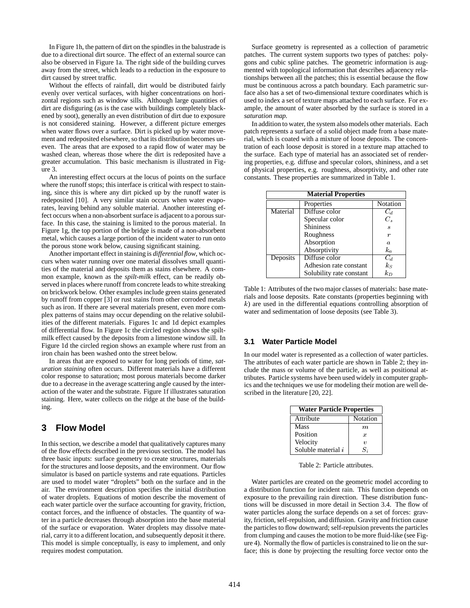In Figure 1h, the pattern of dirt on the spindles in the balustrade is due to a directional dirt source. The effect of an external source can also be observed in Figure 1a. The right side of the building curves away from the street, which leads to a reduction in the exposure to dirt caused by street traffic.

Without the effects of rainfall, dirt would be distributed fairly evenly over vertical surfaces, with higher concentrations on horizontal regions such as window sills. Although large quantities of dirt are disfiguring (as is the case with buildings completely blackened by soot), generally an even distribution of dirt due to exposure is not considered staining. However, a different picture emerges when water flows over a surface. Dirt is picked up by water movement and redeposited elsewhere, so that its distribution becomes uneven. The areas that are exposed to a rapid flow of water may be washed clean, whereas those where the dirt is redeposited have a greater accumulation. This basic mechanism is illustrated in Figure 3.

An interesting effect occurs at the locus of points on the surface where the runoff stops; this interface is critical with respect to staining, since this is where any dirt picked up by the runoff water is redeposited [10]. A very similar stain occurs when water evaporates, leaving behind any soluble material. Another interesting effect occurs when a non-absorbent surface is adjacent to a porous surface. In this case, the staining is limited to the porous material. In Figure 1g, the top portion of the bridge is made of a non-absorbent metal, which causes a large portion of the incident water to run onto the porous stone work below, causing significant staining.

Another important effect in staining is *differential flow*, which occurs when water running over one material dissolves small quantities of the material and deposits them as stains elsewhere. A common example, known as the *spilt-milk* effect, can be readily observed in places where runoff from concrete leads to white streaking on brickwork below. Other examples include green stains generated by runoff from copper [3] or rust stains from other corroded metals such as iron. If there are several materials present, even more complex patterns of stains may occur depending on the relative solubilities of the different materials. Figures 1c and 1d depict examples of differential flow. In Figure 1c the circled region shows the spiltmilk effect caused by the deposits from a limestone window sill. In Figure 1d the circled region shows an example where rust from an iron chain has been washed onto the street below.

In areas that are exposed to water for long periods of time, *saturation staining* often occurs. Different materials have a different color response to saturation; most porous materials become darker due to a decrease in the average scattering angle caused by the interaction of the water and the substrate. Figure 1f illustrates saturation staining. Here, water collects on the ridge at the base of the building.

# **3 Flow Model**

In this section, we describe a model that qualitatively captures many of the flow effects described in the previous section. The model has three basic inputs: surface geometry to create structures, materials for the structures and loose deposits, and the environment. Our flow simulator is based on particle systems and rate equations. Particles are used to model water "droplets" both on the surface and in the air. The environment description specifies the initial distribution of water droplets. Equations of motion describe the movement of each water particle over the surface accounting for gravity, friction, contact forces, and the influence of obstacles. The quantity of water in a particle decreases through absorption into the base material of the surface or evaporation. Water droplets may dissolve material, carry it to a different location, and subsequently deposit it there. This model is simple conceptually, is easy to implement, and only requires modest computation.

Surface geometry is represented as a collection of parametric patches. The current system supports two types of patches: polygons and cubic spline patches. The geometric information is augmented with topological information that describes adjacency relationships between all the patches; this is essential because the flow must be continuous across a patch boundary. Each parametric surface also has a set of two-dimensional texture coordinates which is used to index a set of texture maps attached to each surface. For example, the amount of water absorbed by the surface is stored in a *saturation map.*

In addition to water, the system also models other materials. Each patch represents a surface of a solid object made from a base material, which is coated with a mixture of loose deposits. The concentration of each loose deposit is stored in a texture map attached to the surface. Each type of material has an associated set of rendering properties, e.g. diffuse and specular colors, shininess, and a set of physical properties, e.g. roughness, absorptivity, and other rate constants. These properties are summarized in Table 1.

| <b>Material Properties</b> |                          |                  |  |  |
|----------------------------|--------------------------|------------------|--|--|
|                            | Properties               | Notation         |  |  |
| Material                   | Diffuse color            | $C_d$            |  |  |
|                            | Specular color           | $C_{s}$          |  |  |
|                            | <b>Shininess</b>         | S                |  |  |
|                            | Roughness                | r                |  |  |
|                            | Absorption               | $\boldsymbol{a}$ |  |  |
|                            | Absorptivity             | $k_a$            |  |  |
| Deposits                   | Diffuse color            | $C_d$            |  |  |
|                            | Adhesion rate constant   | $k_{S}$          |  |  |
|                            | Solubility rate constant | $k_D$            |  |  |

Table 1: Attributes of the two major classes of materials: base materials and loose deposits. Rate constants (properties beginning with  $k$ ) are used in the differential equations controlling absorption of water and sedimentation of loose deposits (see Table 3).

### **3.1 Water Particle Model**

In our model water is represented as a collection of water particles. The attributes of each water particle are shown in Table 2; they include the mass or volume of the particle, as well as positional attributes. Particle systems have been used widely in computer graphics and the techniques we use for modeling their motion are well described in the literature [20, 22].

| <b>Water Particle Properties</b> |          |  |  |
|----------------------------------|----------|--|--|
| Attribute                        | Notation |  |  |
| Mass                             | m        |  |  |
| Position                         | x.       |  |  |
| Velocity                         |          |  |  |
| Soluble material i               |          |  |  |

Table 2: Particle attributes.

Water particles are created on the geometric model according to a distribution function for incident rain. This function depends on exposure to the prevailing rain direction. These distribution functions will be discussed in more detail in Section 3.4. The flow of water particles along the surface depends on a set of forces: gravity, friction, self-repulsion, and diffusion. Gravity and friction cause the particles to flow downward; self-repulsion prevents the particles from clumping and causes the motion to be more fluid-like (see Figure 4). Normally the flow of particles is constrained to lie on the surface; this is done by projecting the resulting force vector onto the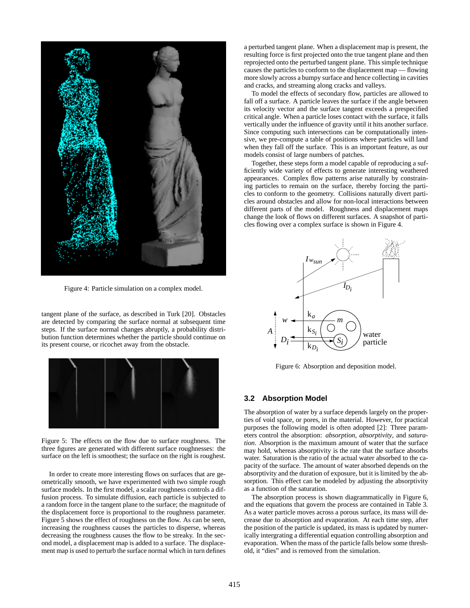

Figure 4: Particle simulation on a complex model.

tangent plane of the surface, as described in Turk [20]. Obstacles are detected by comparing the surface normal at subsequent time steps. If the surface normal changes abruptly, a probability distribution function determines whether the particle should continue on its present course, or ricochet away from the obstacle.



Figure 5: The effects on the flow due to surface roughness. The three figures are generated with different surface roughnesses: the surface on the left is smoothest; the surface on the right is roughest.

In order to create more interesting flows on surfaces that are geometrically smooth, we have experimented with two simple rough surface models. In the first model, a scalar roughness controls a diffusion process. To simulate diffusion, each particle is subjected to a random force in the tangent plane to the surface; the magnitude of the displacement force is proportional to the roughness parameter. Figure 5 shows the effect of roughness on the flow. As can be seen, increasing the roughness causes the particles to disperse, whereas decreasing the roughness causes the flow to be streaky. In the second model, a displacement map is added to a surface. The displacement map is used to perturb the surface normal which in turn defines a perturbed tangent plane. When a displacement map is present, the resulting force is first projected onto the true tangent plane and then reprojected onto the perturbed tangent plane. This simple technique causes the particles to conform to the displacement map — flowing more slowly across a bumpy surface and hence collecting in cavities and cracks, and streaming along cracks and valleys.

To model the effects of secondary flow, particles are allowed to fall off a surface. A particle leaves the surface if the angle between its velocity vector and the surface tangent exceeds a prespecified critical angle. When a particle loses contact with the surface, it falls vertically under the influence of gravity until it hits another surface. Since computing such intersections can be computationally intensive, we pre-compute a table of positions where particles will land when they fall off the surface. This is an important feature, as our models consist of large numbers of patches.

Together, these steps form a model capable of reproducing a sufficiently wide variety of effects to generate interesting weathered appearances. Complex flow patterns arise naturally by constraining particles to remain on the surface, thereby forcing the particles to conform to the geometry. Collisions naturally divert particles around obstacles and allow for non-local interactions between different parts of the model. Roughness and displacement maps change the look of flows on different surfaces. A snapshot of particles flowing over a complex surface is shown in Figure 4.



Figure 6: Absorption and deposition model.

#### **3.2 Absorption Model**

The absorption of water by a surface depends largely on the properties of void space, or pores, in the material. However, for practical purposes the following model is often adopted [2]: Three parameters control the absorption: *absorption*, *absorptivity*, and *saturation*. Absorption is the maximum amount of water that the surface may hold, whereas absorptivity is the rate that the surface absorbs water. Saturation is the ratio of the actual water absorbed to the capacity of the surface. The amount of water absorbed depends on the absorptivity and the duration of exposure, but it is limited by the absorption. This effect can be modeled by adjusting the absorptivity as a function of the saturation.

The absorption process is shown diagrammatically in Figure 6, and the equations that govern the process are contained in Table 3. As a water particle moves across a porous surface, its mass will decrease due to absorption and evaporation. At each time step, after the position of the particle is updated, its mass is updated by numerically intergrating a differential equation controlling absorption and evaporation. When the mass of the particle falls below some threshold, it "dies" and is removed from the simulation.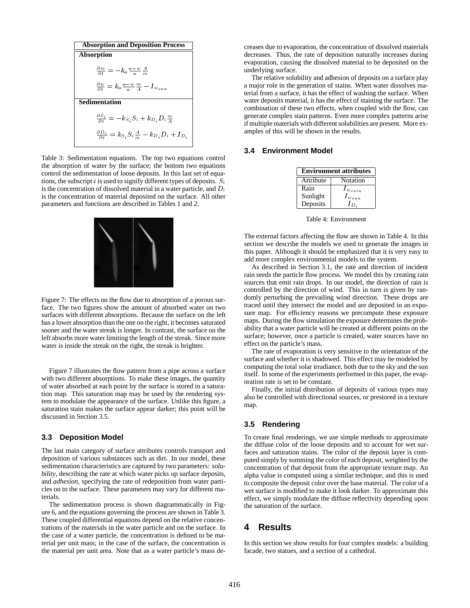**Absorption and Deposition Process**\n

| Absorption                                                                          |
|-------------------------------------------------------------------------------------|
| $\frac{\partial m}{\partial t} = -k_a \frac{a-w}{a} \frac{A}{m}$                    |
| $\frac{\partial w}{\partial t} = k_a \frac{a-w}{a} \frac{m}{A} - I_{w_{sun}}$       |
| Setimentation                                                                       |
| $\frac{\partial S_i}{\partial t} = -k_{S_i} S_i + k_{D_i} D_i \frac{m}{A}$          |
| $\frac{\partial D_i}{\partial t} = k_{S_i} S_i \frac{A}{m} - k_{D_i} D_i + I_{D_i}$ |

Table 3: Sedimentation equations. The top two equations control the absorption of water by the surface; the bottom two equations control the sedimentation of loose deposits. In this last set of equations, the subscript i is used to signify different types of deposits.  $S_i$ is the concentration of dissolved material in a water particle, and  $D_i$ is the concentration of material deposited on the surface. All other parameters and functions are described in Tables 1 and 2.



Figure 7: The effects on the flow due to absorption of a porous surface. The two figures show the amount of absorbed water on two surfaces with different absorptions. Because the surface on the left has a lower absorption than the one on the right, it becomes saturated sooner and the water streak is longer. In contrast, the surface on the left absorbs more water limiting the length of the streak. Since more water is inside the streak on the right, the streak is brighter.

Figure 7 illustrates the flow pattern from a pipe across a surface with two different absorptions. To make these images, the quantity of water absorbed at each point by the surface is stored in a saturation map. This saturation map may be used by the rendering system to modulate the appearance of the surface. Unlike this figure, a saturation stain makes the surface appear darker; this point will be discussed in Section 3.5.

### **3.3 Deposition Model**

The last main category of surface attributes controls transport and deposition of various substances such as dirt. In our model, these sedimentation characteristics are captured by two parameters: *solubility*, describing the rate at which water picks up surface deposits, and *adhesion*, specifying the rate of redeposition from water particles on to the surface. These parameters may vary for different materials.

The sedimentation process is shown diagrammatically in Figure 6, and the equations governing the process are shown in Table 3. These coupled differential equations depend on the relative concentrations of the materials in the water particle and on the surface. In the case of a water particle, the concentration is defined to be material per unit mass; in the case of the surface, the concentration is the material per unit area. Note that as a water particle's mass decreases due to evaporation, the concentration of dissolved materials decreases. Thus, the rate of deposition naturally increases during evaporation, causing the dissolved material to be deposited on the underlying surface.

The relative solubility and adhesion of deposits on a surface play a major role in the generation of stains. When water dissolves material from a surface, it has the effect of washing the surface. When water deposits material, it has the effect of staining the surface. The combination of these two effects, when coupled with the flow, can generate complex stain patterns. Even more complex patterns arise if multiple materials with different solubilities are present. More examples of this will be shown in the results.

#### **3.4 Environment Model**

| <b>Environment attributes</b> |                 |  |  |
|-------------------------------|-----------------|--|--|
| Attribute                     | Notation        |  |  |
| Rain                          | $I_{w_{rain}}$  |  |  |
| Sunlight                      | $I_{w_{s u n}}$ |  |  |
| Deposits                      | l n             |  |  |

Table 4: Environment

The external factors affecting the flow are shown in Table 4. In this section we describe the models we used to generate the images in this paper. Although it should be emphasized that it is very easy to add more complex environmental models to the system.

As described in Section 3.1, the rate and direction of incident rain seeds the particle flow process. We model this by creating rain sources that emit rain drops. In our model, the direction of rain is controlled by the direction of wind. This in turn is given by randomly perturbing the prevailing wind direction. These drops are traced until they intersect the model and are deposited in an exposure map. For efficiency reasons we precompute these exposure maps. During the flow simulation the exposure determines the probability that a water particle will be created at different points on the surface; however, once a particle is created, water sources have no effect on the particle's mass.

The rate of evaporation is very sensitive to the orientation of the surface and whether it is shadowed. This effect may be modeled by computing the total solar irradiance, both due to the sky and the sun itself. In some of the experiments performed in this paper, the evaporation rate is set to be constant.

Finally, the initial distribution of deposits of various types may also be controlled with directional sources, or prestored in a texture ma<sub>p</sub>.

#### **3.5 Rendering**

To create final renderings, we use simple methods to approximate the diffuse color of the loose deposits and to account for wet surfaces and saturation stains. The color of the deposit layer is computed simply by summing the color of each deposit, weighted by the concentration of that deposit from the appropriate texture map. An alpha value is computed using a similar technique, and this is used to composite the deposit color over the base material. The color of a wet surface is modified to make it look darker. To approximate this effect, we simply modulate the diffuse reflectivity depending upon the saturation of the surface.

## **4 Results**

In this section we show results for four complex models: a building facade, two statues, and a section of a cathedral.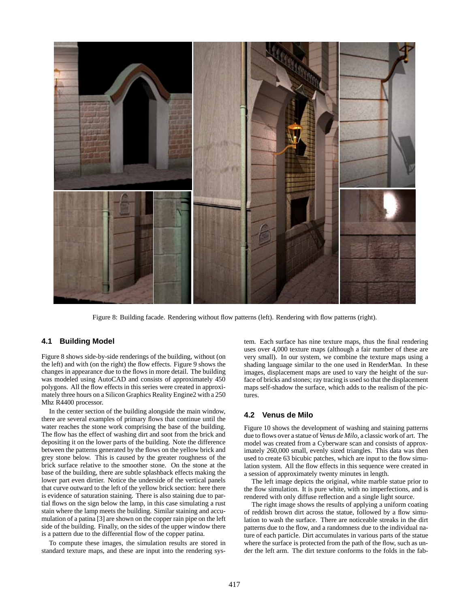

Figure 8: Building facade. Rendering without flow patterns (left). Rendering with flow patterns (right).

### **4.1 Building Model**

Figure 8 shows side-by-side renderings of the building, without (on the left) and with (on the right) the flow effects. Figure 9 shows the changes in appearance due to the flows in more detail. The building was modeled using AutoCAD and consists of approximately 450 polygons. All the flow effects in this series were created in approximately three hours on a Silicon Graphics Reality Engine2 with a 250 Mhz R4400 processor.

In the center section of the building alongside the main window, there are several examples of primary flows that continue until the water reaches the stone work comprising the base of the building. The flow has the effect of washing dirt and soot from the brick and depositing it on the lower parts of the building. Note the difference between the patterns generated by the flows on the yellow brick and grey stone below. This is caused by the greater roughness of the brick surface relative to the smoother stone. On the stone at the base of the building, there are subtle splashback effects making the lower part even dirtier. Notice the underside of the vertical panels that curve outward to the left of the yellow brick section: here there is evidence of saturation staining. There is also staining due to partial flows on the sign below the lamp, in this case simulating a rust stain where the lamp meets the building. Similar staining and accumulation of a patina [3] are shown on the copper rain pipe on the left side of the building. Finally, on the sides of the upper window there is a pattern due to the differential flow of the copper patina.

To compute these images, the simulation results are stored in standard texture maps, and these are input into the rendering system. Each surface has nine texture maps, thus the final rendering uses over 4,000 texture maps (although a fair number of these are very small). In our system, we combine the texture maps using a shading language similar to the one used in RenderMan. In these images, displacement maps are used to vary the height of the surface of bricks and stones; ray tracing is used so that the displacement maps self-shadow the surface, which adds to the realism of the pictures.

#### **4.2 Venus de Milo**

Figure 10 shows the development of washing and staining patterns due to flows over a statue of *Venus de Milo*, a classic work of art. The model was created from a Cyberware scan and consists of approximately 260,000 small, evenly sized triangles. This data was then used to create 63 bicubic patches, which are input to the flow simulation system. All the flow effects in this sequence were created in a session of approximately twenty minutes in length.

The left image depicts the original, white marble statue prior to the flow simulation. It is pure white, with no imperfections, and is rendered with only diffuse reflection and a single light source.

The right image shows the results of applying a uniform coating of reddish brown dirt across the statue, followed by a flow simulation to wash the surface. There are noticeable streaks in the dirt patterns due to the flow, and a randomness due to the individual nature of each particle. Dirt accumulates in various parts of the statue where the surface is protected from the path of the flow, such as under the left arm. The dirt texture conforms to the folds in the fab-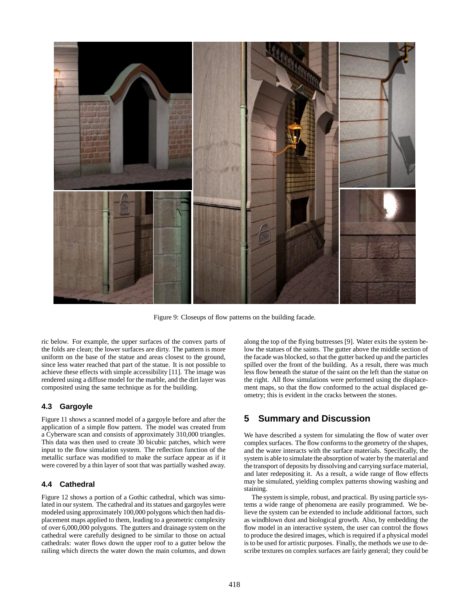

Figure 9: Closeups of flow patterns on the building facade.

ric below. For example, the upper surfaces of the convex parts of the folds are clean; the lower surfaces are dirty. The pattern is more uniform on the base of the statue and areas closest to the ground, since less water reached that part of the statue. It is not possible to achieve these effects with simple accessibility [11]. The image was rendered using a diffuse model for the marble, and the dirt layer was composited using the same technique as for the building.

### **4.3 Gargoyle**

Figure 11 shows a scanned model of a gargoyle before and after the application of a simple flow pattern. The model was created from a Cyberware scan and consists of approximately 310,000 triangles. This data was then used to create 30 bicubic patches, which were input to the flow simulation system. The reflection function of the metallic surface was modified to make the surface appear as if it were covered by a thin layer of soot that was partially washed away.

### **4.4 Cathedral**

Figure 12 shows a portion of a Gothic cathedral, which was simulated in our system. The cathedral and its statues and gargoyles were modeled using approximately 100,000 polygons which then had displacement maps applied to them, leading to a geometric complexity of over 6,000,000 polygons. The gutters and drainage system on the cathedral were carefully designed to be similar to those on actual cathedrals: water flows down the upper roof to a gutter below the railing which directs the water down the main columns, and down along the top of the flying buttresses [9]. Water exits the system below the statues of the saints. The gutter above the middle section of the facade was blocked, so that the gutter backed up and the particles spilled over the front of the building. As a result, there was much less flow beneath the statue of the saint on the left than the statue on the right. All flow simulations were performed using the displacement maps, so that the flow conformed to the actual displaced geometry; this is evident in the cracks between the stones.

# **5 Summary and Discussion**

We have described a system for simulating the flow of water over complex surfaces. The flow conforms to the geometry of the shapes, and the water interacts with the surface materials. Specifically, the system is able to simulate the absorption of water by the material and the transport of deposits by dissolving and carrying surface material, and later redepositing it. As a result, a wide range of flow effects may be simulated, yielding complex patterns showing washing and staining.

The system is simple, robust, and practical. By using particle systems a wide range of phenomena are easily programmed. We believe the system can be extended to include additional factors, such as windblown dust and biological growth. Also, by embedding the flow model in an interactive system, the user can control the flows to produce the desired images, which is required if a physical model is to be used for artistic purposes. Finally, the methods we use to describe textures on complex surfaces are fairly general; they could be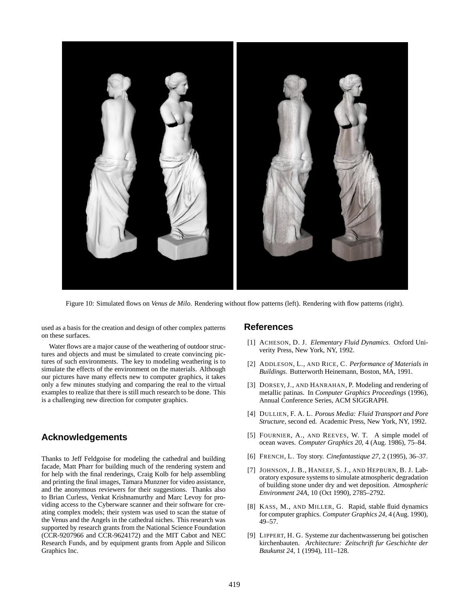

Figure 10: Simulated flows on *Venus de Milo*. Rendering without flow patterns (left). Rendering with flow patterns (right).

used as a basis for the creation and design of other complex patterns on these surfaces.

Water flows are a major cause of the weathering of outdoor structures and objects and must be simulated to create convincing pictures of such environments. The key to modeling weathering is to simulate the effects of the environment on the materials. Although our pictures have many effects new to computer graphics, it takes only a few minutes studying and comparing the real to the virtual examples to realize that there is still much research to be done. This is a challenging new direction for computer graphics.

# **Acknowledgements**

Thanks to Jeff Feldgoise for modeling the cathedral and building facade, Matt Pharr for building much of the rendering system and for help with the final renderings, Craig Kolb for help assembling and printing the final images, Tamara Munzner for video assistance, and the anonymous reviewers for their suggestions. Thanks also to Brian Curless, Venkat Krishnamurthy and Marc Levoy for providing access to the Cyberware scanner and their software for creating complex models; their system was used to scan the statue of the Venus and the Angels in the cathedral niches. This research was supported by research grants from the National Science Foundation (CCR-9207966 and CCR-9624172) and the MIT Cabot and NEC Research Funds, and by equipment grants from Apple and Silicon Graphics Inc.

# **References**

- [1] ACHESON, D. J. *Elementary Fluid Dynamics*. Oxford Univerity Press, New York, NY, 1992.
- [2] ADDLESON, L., AND RICE, C. *Performance of Materials in Buildings*. Butterworth Heinemann, Boston, MA, 1991.
- [3] DORSEY, J., AND HANRAHAN, P. Modeling and rendering of metallic patinas. In *Computer Graphics Proceedings* (1996), Annual Conference Series, ACM SIGGRAPH.
- [4] DULLIEN, F. A. L. *Porous Media: Fluid Transport and Pore Structure*, second ed. Academic Press, New York, NY, 1992.
- [5] FOURNIER, A., AND REEVES, W. T. A simple model of ocean waves. *Computer Graphics 20*, 4 (Aug. 1986), 75–84.
- [6] FRENCH, L. Toy story. *Cinefantastique 27*, 2 (1995), 36–37.
- [7] JOHNSON, J. B., HANEEF, S. J., AND HEPBURN, B. J. Laboratory exposure systems to simulate atmospheric degradation of building stone under dry and wet deposition. *Atmospheric Environment 24A*, 10 (Oct 1990), 2785–2792.
- [8] KASS, M., AND MILLER, G. Rapid, stable fluid dynamics for computer graphics. *Computer Graphics 24*, 4 (Aug. 1990), 49–57.
- [9] LIPPERT, H. G. Systeme zur dachentwasserung bei gotischen kirchenbauten. *Architecture: Zeitschrift fur Geschichte der Baukunst 24*, 1 (1994), 111–128.